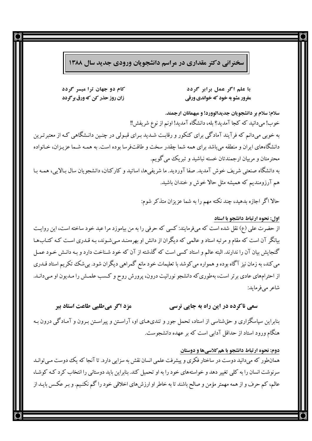سخنرانی دکتر مقداری در مراسم دانشجویان ورودی جدید سال ۱۳۸۸

کام دو جهان ترا میسر گردد زان روز حذر کن که ورق بر گردد

با علم اگر عمل برابر گردد مغرور مشو به خود که خواندي ورقي

سلام؛ سلام بر دانشجویان جدیدالوورد! و میهمانان ارجمند. خوب! ميدانيد كه كجا آمديد؟ بله، دانشگاه آمديد! اونم از نوع شريفش!! به خوبی میدانم که فرآیند آمادگی برای کنکور و رقابت شـدید بـرای قبـولی در چنـین دانـشگاهی کـه از معتبرتـرین دانشگاههای ایران و منطقه می باشد برای همه شما چقدر سخت و طاقتفرسا بوده است. به همـه شـما عزیـزان، خـانواده محترمتان و مربیان ارجمندتان خسته نباشید و تبریک می گویم. به دانشگاه صنعتی شریف خوش آمدید. صفا آوردید. ما شریفیها، اساتید و کارکنان، دانشجویان سال بـالایی، همـه بـا هم آرزومندیم که همیشه مثل حالا خوش و خندان باشید.

حالا اگر اجازه بدهید، چند نکته مهم را به شما عزیزان متذکر شوم:

اول: نحوه ارتباط دانشجو با استاد از حضرت علی (ع) نقل شده است که میفرمایند: کسی که حرفی را به من بیاموزد مرا عبد خود ساخته است، این روایت بیانگر آن است که مقام و مرتبه استاد و عالمی که دیگران از دانش او بهرهمنـد مـیشـوند، بـه قـدری اسـت کـه کتـابهـا گنجایش بیان آن را ندارند. البته عالم و استاد کسی است که گذشته از آن که خود شـناخت دارد و بـه دانـش خـود عمـل می کند، به زمان نیز آگاه بوده و همواره می کوشد با تعلیمات خود مانع گمراهی دیگران شود. بیشک تکریم استاد قـدری از احترامهای عادی برتر است، بهطوری که دانشجو نورانیت درون، پرورش روح و کـسب علمـش را مـدیون او مـیدانـد. شاعر مے فرماید:

مزد اگر میطلبی طاعت استاد ببر سعے، ناکردہ در این راہ به جایے، نرسے،

بنابراین سپاسگزاری و حقشناسی از استاد، تحمل جور و تندیهـای او، آراسـتن و پیراسـتن بـرون و آمـادگی درون بـه هنگام ورود استاد از حداقل آدابی است که بر عهده دانشجوست.

دوم: نحوه ارتباط دانشجو با هم کلاسیها و دوستان همانطور که میدانید دوست در ساختار فکری و پیشرفت علمی انسان نقش به سزایی دارد. تا آنجا که یک دوست می توانـد سرنوشت انسان را به کلی تغییر دهد و خواستههای خود را به او تحمیل کند. بنابراین باید دوستانی را انتخاب کرد کـه کوشـا، عالم، کم حرف و از همه مهمتر مؤمن و صالح باشند تا به خاطر او ارزشهای اخلاقی خود را گم نکنیم. و بـر عکـس بایـد از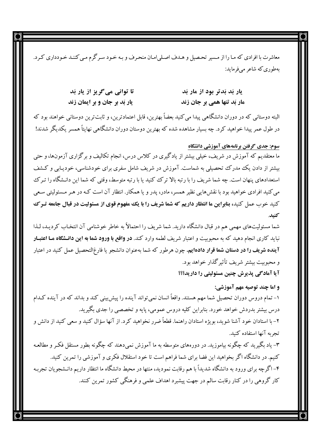معاشرت با افرادي كه مـا را از مـسير تحـصيل و هـدف اصـلي|مـان منحـرف و بـه خـود سـر گرم مـي كننـد خـودداري كـرد. بەطورىكە شاعر مى فرمايد:

| تا توانی می گریز از یار بَد          | یار بَد بَدتر بود از مار بَد |
|--------------------------------------|------------------------------|
| <b>یار بَد بر جان و بر ایمان زند</b> | مار بَد تنها همی بر جان زند  |

البته دوستانی که در دوران دانشگاهی پیدا می کنید بعضاً بهترین، قابل اعتمادترین، و ثابتترین دوستانی خواهند بود که در طول عمر پیدا خواهید کرد. چه بسیار مشاهده شده که بهترین دوستان دوران دانشگاهی نهایتاً همسر یکدیگر شدند!

## سوم: جدی گرفتن برنامههای آموزشی دانشگاه

ما معتقدیم که آموزش در شریف، خیلبی بیشتر از یادگیری در کلاس درس، انجام تکالیف و برگزاری آزمونها، و حتبی بیشتر از دادن یک مدرک تحصیلی به شماست. آموزش در شریف شامل سفری برای خودشناسی، خودیـابی و کـشف استعدادهای پنهان است. چه شما شریف را با رتبه بالا ترک کنید یا با رتبه متوسط، وقتی که شما این دانـشگاه را تـرک می کنید افرادی خواهید بود با نقش هایی نظیر همسر، مادر، یدر و یا همکار. انتظار آن است کـه در هـر مـسئولیتی سـعی **کنید خوب عمل کنید، بنابراین ما انتظار داریم که شما شریف را با یک مفهوم قوی از مسئولیت در قبال جامعه تـر ک** كنىد.

شما مسئولیتهای مهمی هم در قبال دانشگاه دارید. شما شریف را احتمالاً به خاطر خوشنامی آن انتخاب کردیـد، لـذا نباید کاری انجام دهید که به محبوبیت و اعتبار شریف لطمه وارد کند. **در واقع با ورود شما به این دانـشگاه مـا اعتبـار آینده شریف را در دستان شما قرار داده!یم.** چون هرطور که شما بهعنوان دانشجو یا فارغ|لتحصیل عمل کنید در اعتبار و محبوبيت بيشتر شريف تأثير گذار خواهد بود. آیا آمادگی پذیرش چنین مسئولیتی را دارید؟؟؟

و اما چند توصیه مهم آموزشي: ۱– تمام دروس دوران تحصیل شما مهم هستند. واقعاً انسان نمی تواند آینده را پیش بینی کند و بداند که در آینده کـدام درس بیشتر بدردش خواهد خورد. بنابراین کلیه دروس عمومی، پایه و تخصصی را جدی بگیرید. ۲– با استادان خود آشنا شوید، بویژه استادان راهنما. قطعاً ضرر نخواهید کرد. از آنها سؤال کنید و سعی کنید از دانش و تجربه آنها استفاده كنيد. ۳- یاد بگیرید که چگونه بیاموزید. در دورههای متوسطه به ما آموزش نمی،دهند که چگونه بطور مستقل فکـر و مطالعـه

کنیم. در دانشگاه اگر بخواهید این فضا برای شما فراهم است تا خود استقلال فکری و آموزشی را تمرین کنید. ۴– اگرچه برای ورود به دانشگاه شدیداً با هم رقابت نمودید، منتها در محیط دانشگاه ما انتظار داریم دانـشجویان تجربـه کار گروهی را در کنار رقابت سالم در جهت پیشبرد اهداف علمی و فرهنگی کشور تمرین کنند.